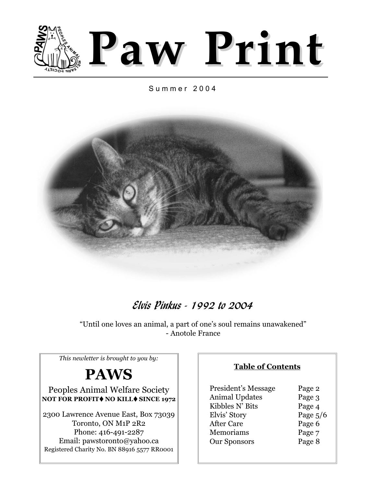

### Summer 2004



## **Elvis Pinkus - 1992 to 2004**

"Until one loves an animal, a part of one's soul remains unawakened" - Anotole France

*This newletter is brought to you by:*

## **PAWS**

Peoples Animal Welfare Society **NOT FOR PROFIT<sup>** $\bullet$ **</sup> NO KILL** $\bullet$  **SINCE 1972** 

2300 Lawrence Avenue East, Box 73039 Toronto, ON M1P 2R2 Phone: 416-491-2287 Email: pawstoronto@yahoo.ca Registered Charity No. BN 88916 5577 RR0001

### **Table of Contents**

| Page 2     |
|------------|
| Page 3     |
| Page 4     |
| Page $5/6$ |
| Page 6     |
| Page 7     |
| Page 8     |
|            |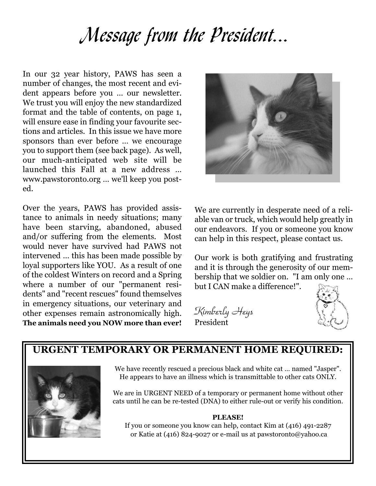# Message from the President...

In our 32 year history, PAWS has seen a number of changes, the most recent and evident appears before you … our newsletter. We trust you will enjoy the new standardized format and the table of contents, on page 1, will ensure ease in finding your favourite sections and articles. In this issue we have more sponsors than ever before … we encourage you to support them (see back page). As well, our much-anticipated web site will be launched this Fall at a new address … www.pawstoronto.org … we'll keep you posted.

Over the years, PAWS has provided assistance to animals in needy situations; many have been starving, abandoned, abused and/or suffering from the elements. Most would never have survived had PAWS not intervened … this has been made possible by loyal supporters like YOU. As a result of one of the coldest Winters on record and a Spring where a number of our "permanent residents" and "recent rescues" found themselves in emergency situations, our veterinary and other expenses remain astronomically high. **The animals need you NOW more than ever!**



We are currently in desperate need of a reliable van or truck, which would help greatly in our endeavors. If you or someone you know can help in this respect, please contact us.

Our work is both gratifying and frustrating and it is through the generosity of our membership that we soldier on. "I am only one … but I CAN make a difference!".

Kimberly Heys President



### **URGENT TEMPORARY OR PERMANENT HOME REQUIRED:**



We have recently rescued a precious black and white cat … named "Jasper". He appears to have an illness which is transmittable to other cats ONLY.

We are in URGENT NEED of a temporary or permanent home without other cats until he can be re-tested (DNA) to either rule-out or verify his condition.

#### **PLEASE!**

If you or someone you know can help, contact Kim at (416) 491-2287 or Katie at (416) 824-9027 or e-mail us at pawstoronto@yahoo.ca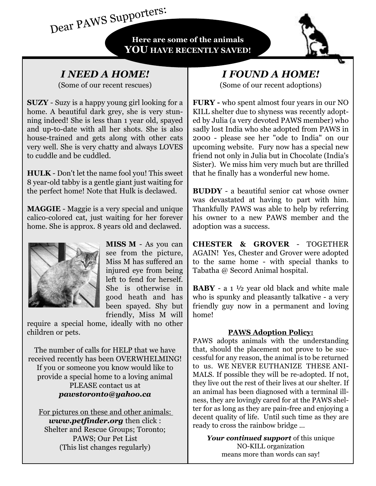**Here are some of the animals YOU HAVE RECENTLY SAVED!**

### *I NEED A HOME!*

(Some of our recent rescues)

Dear PAWS Supporters:

**SUZY** - Suzy is a happy young girl looking for a home. A beautiful dark grey, she is very stunning indeed! She is less than 1 year old, spayed and up-to-date with all her shots. She is also house-trained and gets along with other cats very well. She is very chatty and always LOVES to cuddle and be cuddled.

**HULK** - Don't let the name fool you! This sweet 8 year-old tabby is a gentle giant just waiting for the perfect home! Note that Hulk is declawed.

**MAGGIE** - Maggie is a very special and unique calico-colored cat, just waiting for her forever home. She is approx. 8 years old and declawed.



**MISS M** - As you can see from the picture, Miss M has suffered an injured eye from being left to fend for herself. She is otherwise in good heath and has been spayed. Shy but friendly, Miss M will

require a special home, ideally with no other children or pets.

The number of calls for HELP that we have received recently has been OVERWHELMING! If you or someone you know would like to provide a special home to a loving animal PLEASE contact us at *pawstoronto@yahoo.ca*

For pictures on these and other animals: *www.petfinder.org* then click : Shelter and Rescue Groups; Toronto; PAWS; Our Pet List (This list changes regularly)

### *I FOUND A HOME!*  (Some of our recent adoptions)

**FURY -** who spent almost four years in our NO KILL shelter due to shyness was recently adopted by Julia (a very devoted PAWS member) who sadly lost India who she adopted from PAWS in 2000 - please see her "ode to India" on our upcoming website. Fury now has a special new friend not only in Julia but in Chocolate (India's Sister). We miss him very much but are thrilled that he finally has a wonderful new home.

**BUDDY** - a beautiful senior cat whose owner was devastated at having to part with him. Thankfully PAWS was able to help by referring his owner to a new PAWS member and the adoption was a success.

**CHESTER & GROVER** - TOGETHER AGAIN! Yes, Chester and Grover were adopted to the same home - with special thanks to Tabatha @ Secord Animal hospital.

**BABY** - a 1 ½ year old black and white male who is spunky and pleasantly talkative - a very friendly guy now in a permanent and loving home!

### **PAWS Adoption Policy:**

PAWS adopts animals with the understanding that, should the placement not prove to be successful for any reason, the animal is to be returned to us. WE NEVER EUTHANIZE THESE ANI-MALS. If possible they will be re-adopted. If not, they live out the rest of their lives at our shelter. If an animal has been diagnosed with a terminal illness, they are lovingly cared for at the PAWS shelter for as long as they are pain-free and enjoying a decent quality of life. Until such time as they are ready to cross the rainbow bridge ...

*Your continued support* of this unique NO-KILL organization means more than words can say!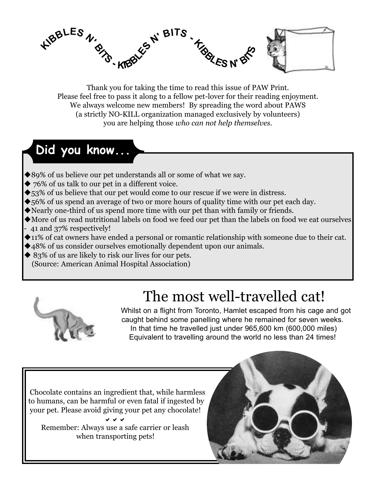

Thank you for taking the time to read this issue of PAW Print. Please feel free to pass it along to a fellow pet-lover for their reading enjoyment. We always welcome new members! By spreading the word about PAWS (a strictly NO-KILL organization managed exclusively by volunteers) you are helping those *who can not help themselves.*

# **Did you know...**

- ◆89% of us believe our pet understands all or some of what we say.
- ◆ 76% of us talk to our pet in a different voice.
- ◆53% of us believe that our pet would come to our rescue if we were in distress.
- ◆56% of us spend an average of two or more hours of quality time with our pet each day.
- Nearly one-third of us spend more time with our pet than with family or friends.
- More of us read nutritional labels on food we feed our pet than the labels on food we eat ourselves - 41 and 37% respectively!
- 11% of cat owners have ended a personal or romantic relationship with someone due to their cat.
- 48% of us consider ourselves emotionally dependent upon our animals.
- ◆ 83% of us are likely to risk our lives for our pets.
	- (Source: American Animal Hospital Association)



# The most well-travelled cat!

Whilst on a flight from Toronto, Hamlet escaped from his cage and got caught behind some panelling where he remained for seven weeks. In that time he travelled just under 965,600 km (600,000 miles) Equivalent to travelling around the world no less than 24 times!

Chocolate contains an ingredient that, while harmless to humans, can be harmful or even fatal if ingested by your pet. Please avoid giving your pet any chocolate!

DDD Remember: Always use a safe carrier or leash when transporting pets!

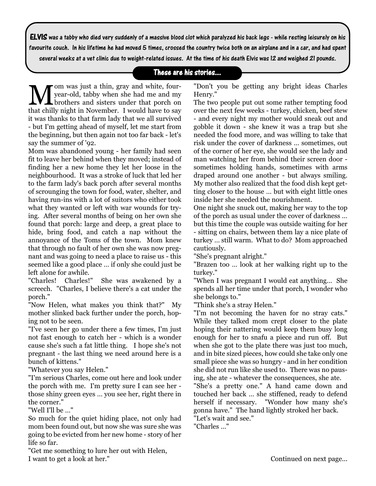ELVIS was a tabby who died very suddenly of a massive blood clot which paralyzed his back legs - while resting leisurely on his favourite couch. In his lifetime he had moved 5 times, crossed the country twice both on an airplane and in a car, and had spent

several weeks at a vet clinic due to weight-related issues. At the time of his death Elvis was 12 and weighed 21 pounds.

### These are his stories...

Mom was just a thin, gray and white, four-<br>lyear-old, tabby when she had me and my<br>that chilly night in Navamban. Lyould have to see year-old, tabby when she had me and my brothers and sisters under that porch on that chilly night in November. I would have to say it was thanks to that farm lady that we all survived - but I'm getting ahead of myself, let me start from the beginning, but then again not too far back - let's say the summer of '92.

Mom was abandoned young - her family had seen fit to leave her behind when they moved; instead of finding her a new home they let her loose in the neighbourhood. It was a stroke of luck that led her to the farm lady's back porch after several months of scrounging the town for food, water, shelter, and having run-ins with a lot of suitors who either took what they wanted or left with war wounds for trying. After several months of being on her own she found that porch: large and deep, a great place to hide, bring food, and catch a nap without the annoyance of the Toms of the town. Mom knew that through no fault of her own she was now pregnant and was going to need a place to raise us - this seemed like a good place … if only she could just be left alone for awhile.

"Charles! Charles!" She was awakened by a screech. "Charles, I believe there's a cat under the porch."

"Now Helen, what makes you think that?" My mother slinked back further under the porch, hoping not to be seen.

"I've seen her go under there a few times, I'm just not fast enough to catch her - which is a wonder cause she's such a fat little thing. I hope she's not pregnant - the last thing we need around here is a bunch of kittens."

"Whatever you say Helen."

"I'm serious Charles, come out here and look under the porch with me. I'm pretty sure I can see her those shiny green eyes … you see her, right there in the corner."

"Well I'll be …"

So much for the quiet hiding place, not only had mom been found out, but now she was sure she was going to be evicted from her new home - story of her life so far.

"Get me something to lure her out with Helen, I want to get a look at her."

"Don't you be getting any bright ideas Charles Henry."

The two people put out some rather tempting food over the next few weeks - turkey, chicken, beef stew - and every night my mother would sneak out and gobble it down - she knew it was a trap but she needed the food more, and was willing to take that risk under the cover of darkness … sometimes, out of the corner of her eye, she would see the lady and man watching her from behind their screen door sometimes holding hands, sometimes with arms draped around one another - but always smiling. My mother also realized that the food dish kept getting closer to the house … but with eight little ones inside her she needed the nourishment.

One night she snuck out, making her way to the top of the porch as usual under the cover of darkness … but this time the couple was outside waiting for her - sitting on chairs, between them lay a nice plate of turkey … still warm. What to do? Mom approached cautiously.

"She's pregnant alright."

"Brazen too … look at her walking right up to the turkey."

"When I was pregnant I would eat anything… She spends all her time under that porch, I wonder who she belongs to."

"Think she's a stray Helen."

"I'm not becoming the haven for no stray cats." While they talked mom crept closer to the plate hoping their nattering would keep them busy long enough for her to snafu a piece and run off. But when she got to the plate there was just too much, and in bite sized pieces, how could she take only one small piece she was so hungry - and in her condition she did not run like she used to. There was no pausing, she ate - whatever the consequences, she ate.

"She's a pretty one." A hand came down and touched her back … she stiffened, ready to defend herself if necessary. "Wonder how many she's gonna have." The hand lightly stroked her back.

"Let's wait and see."

"Charles …"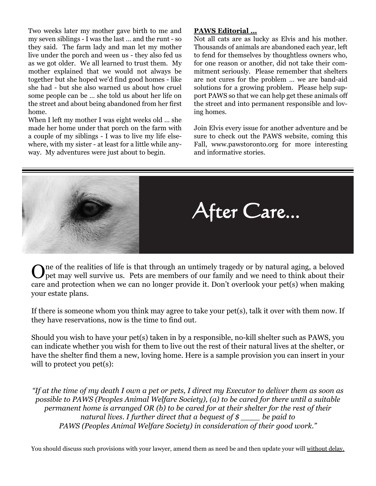Two weeks later my mother gave birth to me and my seven siblings - I was the last … and the runt - so they said. The farm lady and man let my mother live under the porch and ween us - they also fed us as we got older. We all learned to trust them. My mother explained that we would not always be together but she hoped we'd find good homes - like she had - but she also warned us about how cruel some people can be … she told us about her life on the street and about being abandoned from her first home.

When I left my mother I was eight weeks old … she made her home under that porch on the farm with a couple of my siblings - I was to live my life elsewhere, with my sister - at least for a little while anyway. My adventures were just about to begin.

#### **PAWS Editorial …**

Not all cats are as lucky as Elvis and his mother. Thousands of animals are abandoned each year, left to fend for themselves by thoughtless owners who, for one reason or another, did not take their commitment seriously. Please remember that shelters are not cures for the problem … we are band-aid solutions for a growing problem. Please help support PAWS so that we can help get these animals off the street and into permanent responsible and loving homes.

Join Elvis every issue for another adventure and be sure to check out the PAWS website, coming this Fall, www.pawstoronto.org for more interesting and informative stories.



One of the realities of life is that through an untimely tragedy or by natural aging, a beloved pet may well survive us. Pets are members of our family and we need to think about their care and protection when we can no longer provide it. Don't overlook your pet(s) when making your estate plans.

If there is someone whom you think may agree to take your pet(s), talk it over with them now. If they have reservations, now is the time to find out.

Should you wish to have your pet(s) taken in by a responsible, no-kill shelter such as PAWS, you can indicate whether you wish for them to live out the rest of their natural lives at the shelter, or have the shelter find them a new, loving home. Here is a sample provision you can insert in your will to protect you pet(s):

*"If at the time of my death I own a pet or pets, I direct my Executor to deliver them as soon as possible to PAWS (Peoples Animal Welfare Society), (a) to be cared for there until a suitable permanent home is arranged OR (b) to be cared for at their shelter for the rest of their natural lives. I further direct that a bequest of \$ \_\_\_\_ be paid to PAWS (Peoples Animal Welfare Society) in consideration of their good work."*

You should discuss such provisions with your lawyer, amend them as need be and then update your will without delay.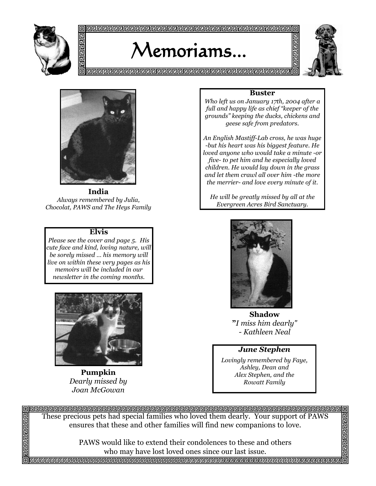

# Memoriams...



림<br>민

<u>리린린틴린린린린린린린린린린린린린린린린린린린린린린린리린리린리린리린리린</u>리



**India**  *Always remembered by Julia, Chocolat, PAWS and The Heys Family*

#### **Elvis**

*Please see the cover and page 5. His cute face and kind, loving nature, will be sorely missed … his memory will live on within these very pages as his memoirs will be included in our newsletter in the coming months.*



**Pumpkin** *Dearly missed by Joan McGowan*

日回回回

己 可

### **Buster**

*Who left us on January 17th, 2004 after a full and happy life as chief "keeper of the grounds" keeping the ducks, chickens and geese safe from predators.*

*An English Mastiff-Lab cross, he was huge -but his heart was his biggest feature. He loved anyone who would take a minute -or five- to pet him and he especially loved children. He would lay down in the grass and let them crawl all over him -the more the merrier- and love every minute of it.*

*He will be greatly missed by all at the Evergreen Acres Bird Sanctuary.*



**Shadow "***I miss him dearly" - Kathleen Neal* 

#### *June Stephen*

*Lovingly remembered by Faye, Ashley, Dean and Alex Stephen, and the Rowatt Family* 

These precious pets had special families who loved them dearly. Your support of PAWS ensures that these and other families will find new companions to love.

> PAWS would like to extend their condolences to these and others who may have lost loved ones since our last issue.